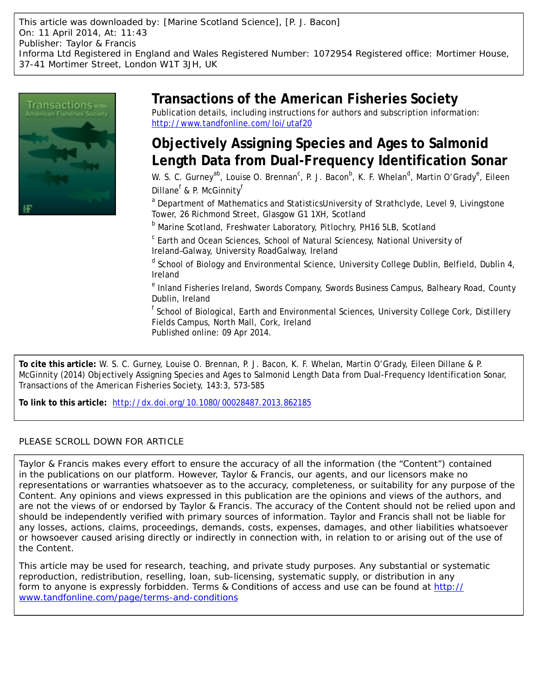This article was downloaded by: [Marine Scotland Science], [P. J. Bacon] On: 11 April 2014, At: 11:43 Publisher: Taylor & Francis Informa Ltd Registered in England and Wales Registered Number: 1072954 Registered office: Mortimer House, 37-41 Mortimer Street, London W1T 3JH, UK



# **Transactions of the American Fisheries Society**

Publication details, including instructions for authors and subscription information: <http://www.tandfonline.com/loi/utaf20>

# **Objectively Assigning Species and Ages to Salmonid Length Data from Dual-Frequency Identification Sonar**

W. S. C. Gurney<sup>ab</sup>, Louise O. Brennan<sup>c</sup>, P. J. Bacon<sup>b</sup>, K. F. Whelan<sup>d</sup>, Martin O'Grady<sup>e</sup>, Eileen Dillane<sup>f</sup> & P. McGinnity<sup>f</sup>

<sup>a</sup> Department of Mathematics and StatisticsUniversity of Strathclyde, Level 9, Livingstone Tower, 26 Richmond Street, Glasgow G1 1XH, Scotland

<sup>b</sup> Marine Scotland, Freshwater Laboratory, Pitlochry, PH16 5LB, Scotland

<sup>c</sup> Earth and Ocean Sciences, School of Natural Sciencesy, National University of Ireland–Galway, University RoadGalway, Ireland

<sup>d</sup> School of Biology and Environmental Science, University College Dublin, Belfield, Dublin 4, Ireland

<sup>e</sup> Inland Fisheries Ireland, Swords Company, Swords Business Campus, Balheary Road, County Dublin, Ireland

<sup>f</sup> School of Biological, Earth and Environmental Sciences, University College Cork, Distillery Fields Campus, North Mall, Cork, Ireland Published online: 09 Apr 2014.

**To cite this article:** W. S. C. Gurney, Louise O. Brennan, P. J. Bacon, K. F. Whelan, Martin O'Grady, Eileen Dillane & P. McGinnity (2014) Objectively Assigning Species and Ages to Salmonid Length Data from Dual-Frequency Identification Sonar, Transactions of the American Fisheries Society, 143:3, 573-585

**To link to this article:** <http://dx.doi.org/10.1080/00028487.2013.862185>

# PLEASE SCROLL DOWN FOR ARTICLE

Taylor & Francis makes every effort to ensure the accuracy of all the information (the "Content") contained in the publications on our platform. However, Taylor & Francis, our agents, and our licensors make no representations or warranties whatsoever as to the accuracy, completeness, or suitability for any purpose of the Content. Any opinions and views expressed in this publication are the opinions and views of the authors, and are not the views of or endorsed by Taylor & Francis. The accuracy of the Content should not be relied upon and should be independently verified with primary sources of information. Taylor and Francis shall not be liable for any losses, actions, claims, proceedings, demands, costs, expenses, damages, and other liabilities whatsoever or howsoever caused arising directly or indirectly in connection with, in relation to or arising out of the use of the Content.

This article may be used for research, teaching, and private study purposes. Any substantial or systematic reproduction, redistribution, reselling, loan, sub-licensing, systematic supply, or distribution in any form to anyone is expressly forbidden. Terms & Conditions of access and use can be found at [http://](http://www.tandfonline.com/page/terms-and-conditions) [www.tandfonline.com/page/terms-and-conditions](http://www.tandfonline.com/page/terms-and-conditions)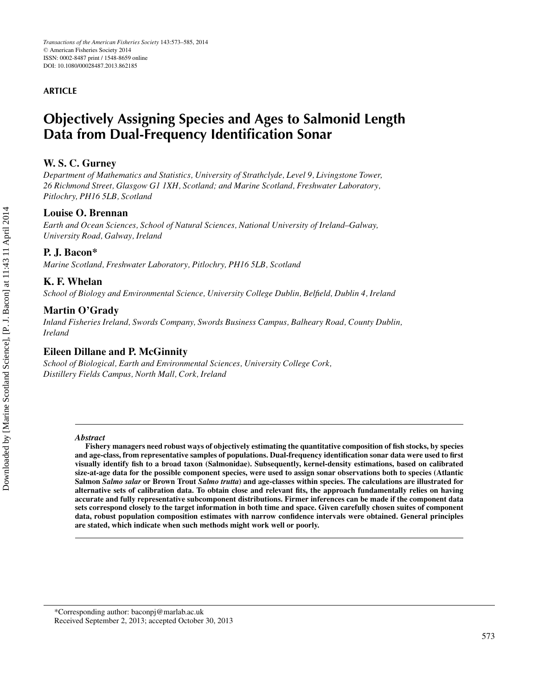## **ARTICLE**

# **Objectively Assigning Species and Ages to Salmonid Length Data from Dual-Frequency Identification Sonar**

# **W. S. C. Gurney**

*Department of Mathematics and Statistics, University of Strathclyde, Level 9, Livingstone Tower, 26 Richmond Street, Glasgow G1 1XH, Scotland; and Marine Scotland, Freshwater Laboratory, Pitlochry, PH16 5LB, Scotland*

# **Louise O. Brennan**

*Earth and Ocean Sciences, School of Natural Sciences, National University of Ireland–Galway, University Road, Galway, Ireland*

# **P. J. Bacon\***

*Marine Scotland, Freshwater Laboratory, Pitlochry, PH16 5LB, Scotland*

## **K. F. Whelan**

*School of Biology and Environmental Science, University College Dublin, Belfield, Dublin 4, Ireland*

# **Martin O'Grady**

*Inland Fisheries Ireland, Swords Company, Swords Business Campus, Balheary Road, County Dublin, Ireland*

# **Eileen Dillane and P. McGinnity**

*School of Biological, Earth and Environmental Sciences, University College Cork, Distillery Fields Campus, North Mall, Cork, Ireland*

#### *Abstract*

**Fishery managers need robust ways of objectively estimating the quantitative composition of fish stocks, by species and age-class, from representative samples of populations. Dual-frequency identification sonar data were used to first visually identify fish to a broad taxon (Salmonidae). Subsequently, kernel-density estimations, based on calibrated size-at-age data for the possible component species, were used to assign sonar observations both to species (Atlantic Salmon** *Salmo salar* **or Brown Trout** *Salmo trutta***) and age-classes within species. The calculations are illustrated for alternative sets of calibration data. To obtain close and relevant fits, the approach fundamentally relies on having accurate and fully representative subcomponent distributions. Firmer inferences can be made if the component data sets correspond closely to the target information in both time and space. Given carefully chosen suites of component data, robust population composition estimates with narrow confidence intervals were obtained. General principles are stated, which indicate when such methods might work well or poorly.**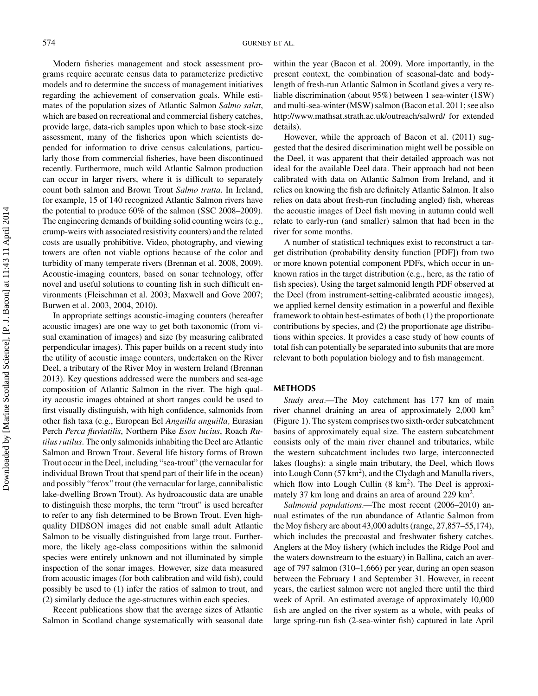Modern fisheries management and stock assessment programs require accurate census data to parameterize predictive models and to determine the success of management initiatives regarding the achievement of conservation goals. While estimates of the population sizes of Atlantic Salmon *Salmo sala*r, which are based on recreational and commercial fishery catches, provide large, data-rich samples upon which to base stock-size assessment, many of the fisheries upon which scientists depended for information to drive census calculations, particularly those from commercial fisheries, have been discontinued recently. Furthermore, much wild Atlantic Salmon production can occur in larger rivers, where it is difficult to separately count both salmon and Brown Trout *Salmo trutta*. In Ireland, for example, 15 of 140 recognized Atlantic Salmon rivers have the potential to produce 60% of the salmon (SSC 2008–2009). The engineering demands of building solid counting weirs (e.g., crump-weirs with associated resistivity counters) and the related costs are usually prohibitive. Video, photography, and viewing towers are often not viable options because of the color and turbidity of many temperate rivers (Brennan et al. 2008, 2009). Acoustic-imaging counters, based on sonar technology, offer novel and useful solutions to counting fish in such difficult environments (Fleischman et al. 2003; Maxwell and Gove 2007; Burwen et al. 2003, 2004, 2010).

In appropriate settings acoustic-imaging counters (hereafter acoustic images) are one way to get both taxonomic (from visual examination of images) and size (by measuring calibrated perpendicular images). This paper builds on a recent study into the utility of acoustic image counters, undertaken on the River Deel, a tributary of the River Moy in western Ireland (Brennan 2013). Key questions addressed were the numbers and sea-age composition of Atlantic Salmon in the river. The high quality acoustic images obtained at short ranges could be used to first visually distinguish, with high confidence, salmonids from other fish taxa (e.g., European Eel *Anguilla anguilla,* Eurasian Perch *Perca fluviatilis*, Northern Pike *Esox lucius*, Roach *Rutilus rutilus*. The only salmonids inhabiting the Deel are Atlantic Salmon and Brown Trout. Several life history forms of Brown Trout occur in the Deel, including "sea-trout" (the vernacular for individual Brown Trout that spend part of their life in the ocean) and possibly "ferox" trout (the vernacular for large, cannibalistic lake-dwelling Brown Trout). As hydroacoustic data are unable to distinguish these morphs, the term "trout" is used hereafter to refer to any fish determined to be Brown Trout. Even highquality DIDSON images did not enable small adult Atlantic Salmon to be visually distinguished from large trout. Furthermore, the likely age-class compositions within the salmonid species were entirely unknown and not illuminated by simple inspection of the sonar images. However, size data measured from acoustic images (for both calibration and wild fish), could possibly be used to (1) infer the ratios of salmon to trout, and (2) similarly deduce the age-structures within each species.

Recent publications show that the average sizes of Atlantic Salmon in Scotland change systematically with seasonal date

within the year (Bacon et al. 2009). More importantly, in the present context, the combination of seasonal-date and bodylength of fresh-run Atlantic Salmon in Scotland gives a very reliable discrimination (about 95%) between 1 sea-winter (1SW) and multi-sea-winter (MSW) salmon (Bacon et al. 2011; see also http://www.mathsat.strath.ac.uk/outreach/salwrd/ for extended details).

However, while the approach of Bacon et al. (2011) suggested that the desired discrimination might well be possible on the Deel, it was apparent that their detailed approach was not ideal for the available Deel data. Their approach had not been calibrated with data on Atlantic Salmon from Ireland, and it relies on knowing the fish are definitely Atlantic Salmon. It also relies on data about fresh-run (including angled) fish, whereas the acoustic images of Deel fish moving in autumn could well relate to early-run (and smaller) salmon that had been in the river for some months.

A number of statistical techniques exist to reconstruct a target distribution (probability density function [PDF]) from two or more known potential component PDFs, which occur in unknown ratios in the target distribution (e.g., here, as the ratio of fish species). Using the target salmonid length PDF observed at the Deel (from instrument-setting-calibrated acoustic images), we applied kernel density estimation in a powerful and flexible framework to obtain best-estimates of both (1) the proportionate contributions by species, and (2) the proportionate age distributions within species. It provides a case study of how counts of total fish can potentially be separated into subunits that are more relevant to both population biology and to fish management.

### **METHODS**

*Study area.—*The Moy catchment has 177 km of main river channel draining an area of approximately 2,000 km2 (Figure 1). The system comprises two sixth-order subcatchment basins of approximately equal size. The eastern subcatchment consists only of the main river channel and tributaries, while the western subcatchment includes two large, interconnected lakes (loughs): a single main tributary, the Deel, which flows into Lough Conn  $(57 \text{ km}^2)$ , and the Clydagh and Manulla rivers, which flow into Lough Cullin  $(8 \text{ km}^2)$ . The Deel is approximately 37 km long and drains an area of around 229 km<sup>2</sup>.

*Salmonid populations.—*The most recent (2006–2010) annual estimates of the run abundance of Atlantic Salmon from the Moy fishery are about 43,000 adults (range, 27,857–55,174), which includes the precoastal and freshwater fishery catches. Anglers at the Moy fishery (which includes the Ridge Pool and the waters downstream to the estuary) in Ballina, catch an average of 797 salmon (310–1,666) per year, during an open season between the February 1 and September 31. However, in recent years, the earliest salmon were not angled there until the third week of April. An estimated average of approximately 10,000 fish are angled on the river system as a whole, with peaks of large spring-run fish (2-sea-winter fish) captured in late April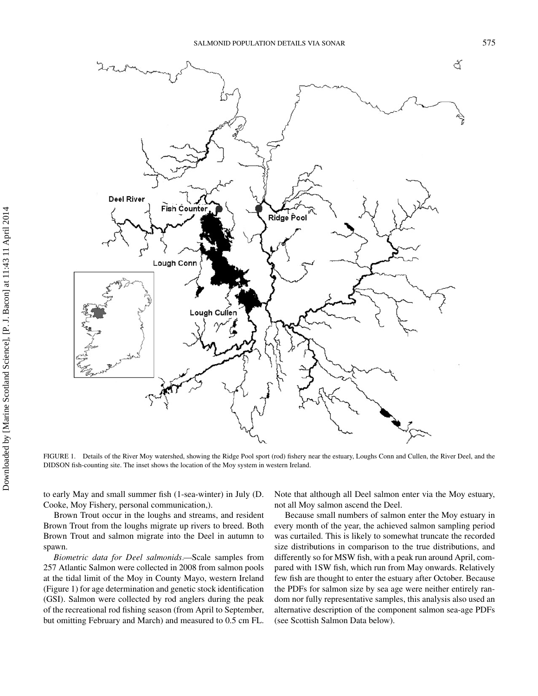

FIGURE 1. Details of the River Moy watershed, showing the Ridge Pool sport (rod) fishery near the estuary, Loughs Conn and Cullen, the River Deel, and the DIDSON fish-counting site. The inset shows the location of the Moy system in western Ireland.

to early May and small summer fish (1-sea-winter) in July (D. Cooke, Moy Fishery, personal communication,).

Brown Trout occur in the loughs and streams, and resident Brown Trout from the loughs migrate up rivers to breed. Both Brown Trout and salmon migrate into the Deel in autumn to spawn.

*Biometric data for Deel salmonids.—*Scale samples from 257 Atlantic Salmon were collected in 2008 from salmon pools at the tidal limit of the Moy in County Mayo, western Ireland (Figure 1) for age determination and genetic stock identification (GSI). Salmon were collected by rod anglers during the peak of the recreational rod fishing season (from April to September, but omitting February and March) and measured to 0.5 cm FL.

Note that although all Deel salmon enter via the Moy estuary, not all Moy salmon ascend the Deel.

Because small numbers of salmon enter the Moy estuary in every month of the year, the achieved salmon sampling period was curtailed. This is likely to somewhat truncate the recorded size distributions in comparison to the true distributions, and differently so for MSW fish, with a peak run around April, compared with 1SW fish, which run from May onwards. Relatively few fish are thought to enter the estuary after October. Because the PDFs for salmon size by sea age were neither entirely random nor fully representative samples, this analysis also used an alternative description of the component salmon sea-age PDFs (see Scottish Salmon Data below).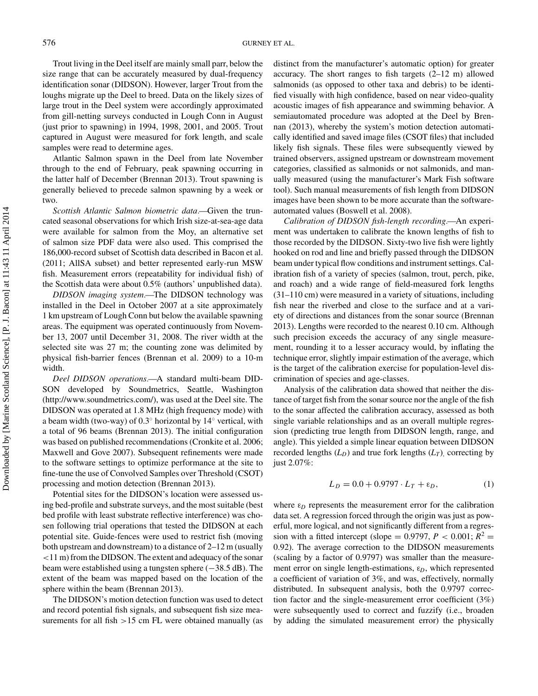Trout living in the Deel itself are mainly small parr, below the size range that can be accurately measured by dual-frequency identification sonar (DIDSON). However, larger Trout from the loughs migrate up the Deel to breed. Data on the likely sizes of large trout in the Deel system were accordingly approximated from gill-netting surveys conducted in Lough Conn in August (just prior to spawning) in 1994, 1998, 2001, and 2005. Trout captured in August were measured for fork length, and scale samples were read to determine ages.

Atlantic Salmon spawn in the Deel from late November through to the end of February, peak spawning occurring in the latter half of December (Brennan 2013). Trout spawning is generally believed to precede salmon spawning by a week or two.

*Scottish Atlantic Salmon biometric data.—*Given the truncated seasonal observations for which Irish size-at-sea-age data were available for salmon from the Moy, an alternative set of salmon size PDF data were also used. This comprised the 186,000-record subset of Scottish data described in Bacon et al. (2011; AllSA subset) and better represented early-run MSW fish. Measurement errors (repeatability for individual fish) of the Scottish data were about 0.5% (authors' unpublished data).

*DIDSON imaging system.—*The DIDSON technology was installed in the Deel in October 2007 at a site approximately 1 km upstream of Lough Conn but below the available spawning areas. The equipment was operated continuously from November 13, 2007 until December 31, 2008. The river width at the selected site was 27 m; the counting zone was delimited by physical fish-barrier fences (Brennan et al. 2009) to a 10-m width.

*Deel DIDSON operations.—*A standard multi-beam DID-SON developed by Soundmetrics, Seattle, Washington (http://www.soundmetrics.com/), was used at the Deel site. The DIDSON was operated at 1.8 MHz (high frequency mode) with a beam width (two-way) of 0.3◦ horizontal by 14◦ vertical, with a total of 96 beams (Brennan 2013). The initial configuration was based on published recommendations (Cronkite et al. 2006; Maxwell and Gove 2007). Subsequent refinements were made to the software settings to optimize performance at the site to fine-tune the use of Convolved Samples over Threshold (CSOT) processing and motion detection (Brennan 2013).

Potential sites for the DIDSON's location were assessed using bed-profile and substrate surveys, and the most suitable (best bed profile with least substrate reflective interference) was chosen following trial operations that tested the DIDSON at each potential site. Guide-fences were used to restrict fish (moving both upstream and downstream) to a distance of 2–12 m (usually <11 m) from the DIDSON. The extent and adequacy of the sonar beam were established using a tungsten sphere (−38.5 dB). The extent of the beam was mapped based on the location of the sphere within the beam (Brennan 2013).

The DIDSON's motion detection function was used to detect and record potential fish signals, and subsequent fish size measurements for all fish >15 cm FL were obtained manually (as

distinct from the manufacturer's automatic option) for greater accuracy. The short ranges to fish targets (2–12 m) allowed salmonids (as opposed to other taxa and debris) to be identified visually with high confidence, based on near video-quality acoustic images of fish appearance and swimming behavior. A semiautomated procedure was adopted at the Deel by Brennan (2013), whereby the system's motion detection automatically identified and saved image files (CSOT files) that included likely fish signals. These files were subsequently viewed by trained observers, assigned upstream or downstream movement categories, classified as salmonids or not salmonids, and manually measured (using the manufacturer's Mark Fish software tool). Such manual measurements of fish length from DIDSON images have been shown to be more accurate than the softwareautomated values (Boswell et al. 2008).

*Calibration of DIDSON fish-length recording.—*An experiment was undertaken to calibrate the known lengths of fish to those recorded by the DIDSON. Sixty-two live fish were lightly hooked on rod and line and briefly passed through the DIDSON beam under typical flow conditions and instrument settings. Calibration fish of a variety of species (salmon, trout, perch, pike, and roach) and a wide range of field-measured fork lengths (31–110 cm) were measured in a variety of situations, including fish near the riverbed and close to the surface and at a variety of directions and distances from the sonar source (Brennan 2013). Lengths were recorded to the nearest 0.10 cm. Although such precision exceeds the accuracy of any single measurement, rounding it to a lesser accuracy would, by inflating the technique error, slightly impair estimation of the average, which is the target of the calibration exercise for population-level discrimination of species and age-classes.

Analysis of the calibration data showed that neither the distance of target fish from the sonar source nor the angle of the fish to the sonar affected the calibration accuracy, assessed as both single variable relationships and as an overall multiple regression (predicting true length from DIDSON length, range, and angle). This yielded a simple linear equation between DIDSON recorded lengths  $(L_D)$  and true fork lengths  $(L_T)$ , correcting by just 2.07%:

$$
L_D = 0.0 + 0.9797 \cdot L_T + \varepsilon_D,\tag{1}
$$

where  $\varepsilon_D$  represents the measurement error for the calibration data set. A regression forced through the origin was just as powerful, more logical, and not significantly different from a regression with a fitted intercept (slope =  $0.9797$ ,  $P < 0.001$ ;  $R^2$  = 0.92). The average correction to the DIDSON measurements (scaling by a factor of 0.9797) was smaller than the measurement error on single length-estimations, ε*D*, which represented a coefficient of variation of 3%, and was, effectively, normally distributed. In subsequent analysis, both the 0.9797 correction factor and the single-measurement error coefficient (3%) were subsequently used to correct and fuzzify (i.e., broaden by adding the simulated measurement error) the physically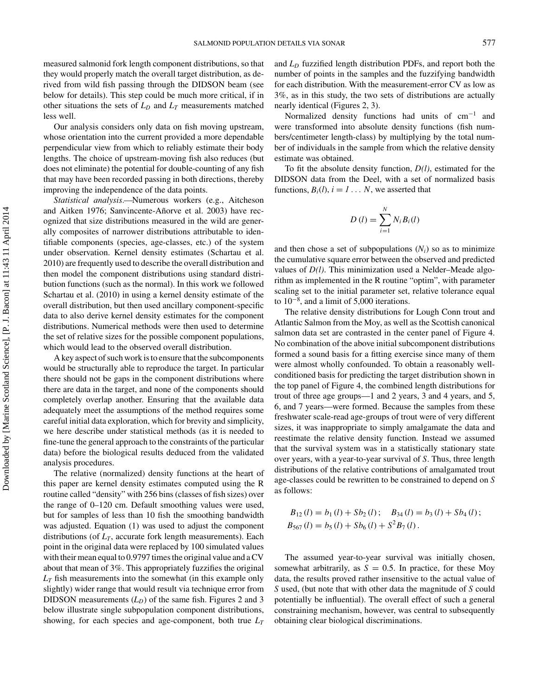measured salmonid fork length component distributions, so that they would properly match the overall target distribution, as derived from wild fish passing through the DIDSON beam (see below for details). This step could be much more critical, if in other situations the sets of  $L<sub>D</sub>$  and  $L<sub>T</sub>$  measurements matched less well.

Our analysis considers only data on fish moving upstream, whose orientation into the current provided a more dependable perpendicular view from which to reliably estimate their body lengths. The choice of upstream-moving fish also reduces (but does not eliminate) the potential for double-counting of any fish that may have been recorded passing in both directions, thereby improving the independence of the data points.

*Statistical analysis.—*Numerous workers (e.g., Aitcheson and Aitken 1976; Sanvincente-Añorve et al. 2003) have recognized that size distributions measured in the wild are generally composites of narrower distributions attributable to identifiable components (species, age-classes, etc.) of the system under observation. Kernel density estimates (Schartau et al. 2010) are frequently used to describe the overall distribution and then model the component distributions using standard distribution functions (such as the normal). In this work we followed Schartau et al. (2010) in using a kernel density estimate of the overall distribution, but then used ancillary component-specific data to also derive kernel density estimates for the component distributions. Numerical methods were then used to determine the set of relative sizes for the possible component populations, which would lead to the observed overall distribution.

A key aspect of such work is to ensure that the subcomponents would be structurally able to reproduce the target. In particular there should not be gaps in the component distributions where there are data in the target, and none of the components should completely overlap another. Ensuring that the available data adequately meet the assumptions of the method requires some careful initial data exploration, which for brevity and simplicity, we here describe under statistical methods (as it is needed to fine-tune the general approach to the constraints of the particular data) before the biological results deduced from the validated analysis procedures.

The relative (normalized) density functions at the heart of this paper are kernel density estimates computed using the R routine called "density" with 256 bins (classes of fish sizes) over the range of 0–120 cm. Default smoothing values were used, but for samples of less than 10 fish the smoothing bandwidth was adjusted. Equation (1) was used to adjust the component distributions (of  $L_T$ , accurate fork length measurements). Each point in the original data were replaced by 100 simulated values with their mean equal to 0.9797 times the original value and a CV about that mean of 3%. This appropriately fuzzifies the original *LT* fish measurements into the somewhat (in this example only slightly) wider range that would result via technique error from DIDSON measurements  $(L_D)$  of the same fish. Figures 2 and 3 below illustrate single subpopulation component distributions, showing, for each species and age-component, both true *LT*

and *LD* fuzzified length distribution PDFs, and report both the number of points in the samples and the fuzzifying bandwidth for each distribution. With the measurement-error CV as low as 3%, as in this study, the two sets of distributions are actually nearly identical (Figures 2, 3).

Normalized density functions had units of cm−<sup>1</sup> and were transformed into absolute density functions (fish numbers/centimeter length-class) by multiplying by the total number of individuals in the sample from which the relative density estimate was obtained.

To fit the absolute density function, *D(l)*, estimated for the DIDSON data from the Deel, with a set of normalized basis functions,  $B_i(l)$ ,  $i = 1...N$ , we asserted that

$$
D(l) = \sum_{i=1}^{N} N_i B_i(l)
$$

and then chose a set of subpopulations  $(N<sub>i</sub>)$  so as to minimize the cumulative square error between the observed and predicted values of *D(l)*. This minimization used a Nelder–Meade algorithm as implemented in the R routine "optim", with parameter scaling set to the initial parameter set, relative tolerance equal to 10−<sup>8</sup> , and a limit of 5,000 iterations.

The relative density distributions for Lough Conn trout and Atlantic Salmon from the Moy, as well as the Scottish canonical salmon data set are contrasted in the center panel of Figure 4. No combination of the above initial subcomponent distributions formed a sound basis for a fitting exercise since many of them were almost wholly confounded. To obtain a reasonably wellconditioned basis for predicting the target distribution shown in the top panel of Figure 4, the combined length distributions for trout of three age groups—1 and 2 years, 3 and 4 years, and 5, 6, and 7 years—were formed. Because the samples from these freshwater scale-read age-groups of trout were of very different sizes, it was inappropriate to simply amalgamate the data and reestimate the relative density function. Instead we assumed that the survival system was in a statistically stationary state over years, with a year-to-year survival of *S*. Thus, three length distributions of the relative contributions of amalgamated trout age-classes could be rewritten to be constrained to depend on *S* as follows:

$$
B_{12}(l) = b_1(l) + Sb_2(l); \quad B_{34}(l) = b_3(l) + Sb_4(l);
$$
  
\n
$$
B_{567}(l) = b_5(l) + Sb_6(l) + S^2B_7(l).
$$

The assumed year-to-year survival was initially chosen, somewhat arbitrarily, as  $S = 0.5$ . In practice, for these Moy data, the results proved rather insensitive to the actual value of *S* used, (but note that with other data the magnitude of *S* could potentially be influential). The overall effect of such a general constraining mechanism, however, was central to subsequently obtaining clear biological discriminations.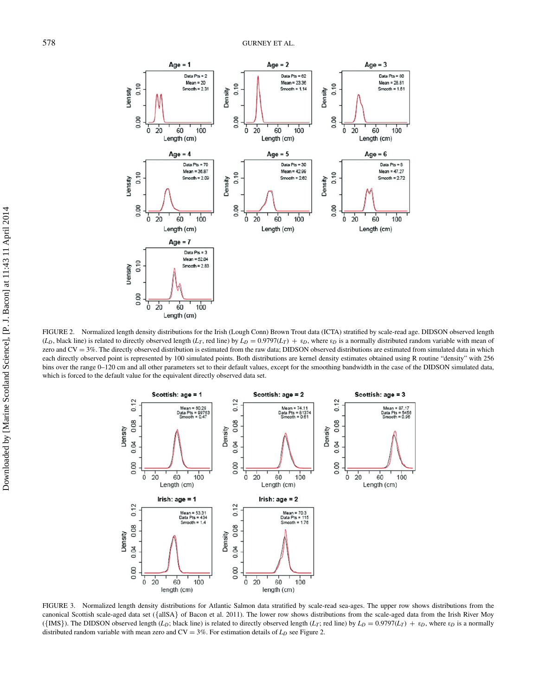

FIGURE 2. Normalized length density distributions for the Irish (Lough Conn) Brown Trout data (ICTA) stratified by scale-read age. DIDSON observed length  $(L_D)$ , black line) is related to directly observed length  $(L_T)$ , red line) by  $L_D = 0.9797(L_T) + \varepsilon_D$ , where  $\varepsilon_D$  is a normally distributed random variable with mean of zero and  $CV = 3\%$ . The directly observed distribution is estimated from the raw data; DIDSON observed distributions are estimated from simulated data in which each directly observed point is represented by 100 simulated points. Both distributions are kernel density estimates obtained using R routine "density" with 256 bins over the range 0–120 cm and all other parameters set to their default values, except for the smoothing bandwidth in the case of the DIDSON simulated data, which is forced to the default value for the equivalent directly observed data set.



FIGURE 3. Normalized length density distributions for Atlantic Salmon data stratified by scale-read sea-ages. The upper row shows distributions from the canonical Scottish scale-aged data set ({allSA} of Bacon et al. 2011). The lower row shows distributions from the scale-aged data from the Irish River Moy ({IMS}). The DIDSON observed length ( $L_D$ ; black line) is related to directly observed length ( $L_T$ ; red line) by  $L_D = 0.9797(L_T) + \varepsilon_D$ , where  $\varepsilon_D$  is a normally distributed random variable with mean zero and  $CV = 3\%$ . For estimation details of  $L<sub>D</sub>$  see Figure 2.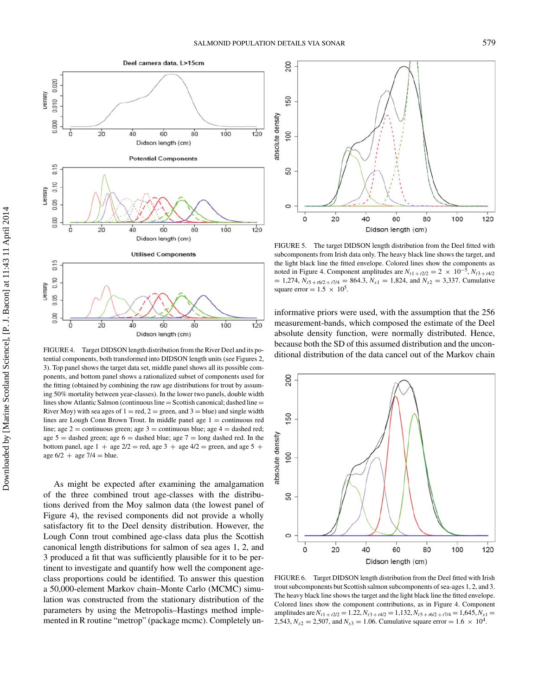

FIGURE 4. Target DIDSON length distribution from the River Deel and its potential components, both transformed into DIDSON length units (see Figures 2, 3). Top panel shows the target data set, middle panel shows all its possible components, and bottom panel shows a rationalized subset of components used for the fitting (obtained by combining the raw age distributions for trout by assuming 50% mortality between year-classes). In the lower two panels, double width lines show Atlantic Salmon (continuous line  $=$  Scottish canonical; dashed line  $=$ River Moy) with sea ages of  $1 = red$ ,  $2 = green$ , and  $3 = blue$ ) and single width lines are Lough Conn Brown Trout. In middle panel age  $1 =$  continuous red line; age 2 = continuous green; age 3 = continuous blue; age 4 = dashed red; age  $5 =$  dashed green; age  $6 =$  dashed blue; age  $7 =$  long dashed red. In the bottom panel, age  $1 +$  age  $2/2$  = red, age 3 + age  $4/2$  = green, and age 5 + age  $6/2 +$  age  $7/4 =$  blue.

As might be expected after examining the amalgamation of the three combined trout age-classes with the distributions derived from the Moy salmon data (the lowest panel of Figure 4), the revised components did not provide a wholly satisfactory fit to the Deel density distribution. However, the Lough Conn trout combined age-class data plus the Scottish canonical length distributions for salmon of sea ages 1, 2, and 3 produced a fit that was sufficiently plausible for it to be pertinent to investigate and quantify how well the component ageclass proportions could be identified. To answer this question a 50,000-element Markov chain–Monte Carlo (MCMC) simulation was constructed from the stationary distribution of the parameters by using the Metropolis–Hastings method implemented in R routine "metrop" (package mcmc). Completely un-



FIGURE 5. The target DIDSON length distribution from the Deel fitted with subcomponents from Irish data only. The heavy black line shows the target, and the light black line the fitted envelope. Colored lines show the components as noted in Figure 4. Component amplitudes are  $N_{t1 + t2/2} = 2 \times 10^{-5}$ ,  $N_{t3 + t4/2}$  $= 1,274$ ,  $N_{t5 + t6/2 + t7/4} = 864.3$ ,  $N_{s1} = 1,824$ , and  $N_{s2} = 3,337$ . Cumulative square error =  $1.5 \times 10^5$ .

informative priors were used, with the assumption that the 256 measurement-bands, which composed the estimate of the Deel absolute density function, were normally distributed. Hence, because both the SD of this assumed distribution and the unconditional distribution of the data cancel out of the Markov chain



FIGURE 6. Target DIDSON length distribution from the Deel fitted with Irish trout subcomponents but Scottish salmon subcomponents of sea-ages 1, 2, and 3. The heavy black line shows the target and the light black line the fitted envelope. Colored lines show the component contributions, as in Figure 4. Component amplitudes are  $N_{t1 + t2/2} = 1.22$ ,  $N_{t3 + t4/2} = 1.132$ ,  $N_{t5 + t6/2 + t7/4} = 1,645$ ,  $N_{s1} =$ 2,543,  $N_{s2} = 2,507$ , and  $N_{s3} = 1.06$ . Cumulative square error = 1.6  $\times$  10<sup>4</sup>.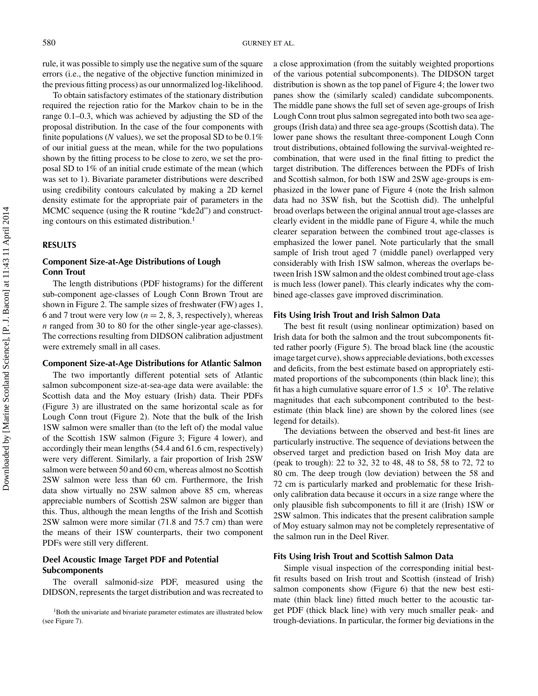rule, it was possible to simply use the negative sum of the square errors (i.e., the negative of the objective function minimized in the previous fitting process) as our unnormalized log-likelihood.

To obtain satisfactory estimates of the stationary distribution required the rejection ratio for the Markov chain to be in the range 0.1–0.3, which was achieved by adjusting the SD of the proposal distribution. In the case of the four components with finite populations (*N* values), we set the proposal SD to be 0.1% of our initial guess at the mean, while for the two populations shown by the fitting process to be close to zero, we set the proposal SD to 1% of an initial crude estimate of the mean (which was set to 1). Bivariate parameter distributions were described using credibility contours calculated by making a 2D kernel density estimate for the appropriate pair of parameters in the MCMC sequence (using the R routine "kde2d") and constructing contours on this estimated distribution.<sup>1</sup>

### **RESULTS**

## **Component Size-at-Age Distributions of Lough Conn Trout**

The length distributions (PDF histograms) for the different sub-component age-classes of Lough Conn Brown Trout are shown in Figure 2. The sample sizes of freshwater (FW) ages 1, 6 and 7 trout were very low  $(n = 2, 8, 3,$  respectively), whereas *n* ranged from 30 to 80 for the other single-year age-classes). The corrections resulting from DIDSON calibration adjustment were extremely small in all cases.

#### **Component Size-at-Age Distributions for Atlantic Salmon**

The two importantly different potential sets of Atlantic salmon subcomponent size-at-sea-age data were available: the Scottish data and the Moy estuary (Irish) data. Their PDFs (Figure 3) are illustrated on the same horizontal scale as for Lough Conn trout (Figure 2). Note that the bulk of the Irish 1SW salmon were smaller than (to the left of) the modal value of the Scottish 1SW salmon (Figure 3; Figure 4 lower), and accordingly their mean lengths (54.4 and 61.6 cm, respectively) were very different. Similarly, a fair proportion of Irish 2SW salmon were between 50 and 60 cm, whereas almost no Scottish 2SW salmon were less than 60 cm. Furthermore, the Irish data show virtually no 2SW salmon above 85 cm, whereas appreciable numbers of Scottish 2SW salmon are bigger than this. Thus, although the mean lengths of the Irish and Scottish 2SW salmon were more similar (71.8 and 75.7 cm) than were the means of their 1SW counterparts, their two component PDFs were still very different.

## **Deel Acoustic Image Target PDF and Potential Subcomponents**

The overall salmonid-size PDF, measured using the DIDSON, represents the target distribution and was recreated to a close approximation (from the suitably weighted proportions of the various potential subcomponents). The DIDSON target distribution is shown as the top panel of Figure 4; the lower two panes show the (similarly scaled) candidate subcomponents. The middle pane shows the full set of seven age-groups of Irish Lough Conn trout plus salmon segregated into both two sea agegroups (Irish data) and three sea age-groups (Scottish data). The lower pane shows the resultant three-component Lough Conn trout distributions, obtained following the survival-weighted recombination, that were used in the final fitting to predict the target distribution. The differences between the PDFs of Irish and Scottish salmon, for both 1SW and 2SW age-groups is emphasized in the lower pane of Figure 4 (note the Irish salmon data had no 3SW fish, but the Scottish did). The unhelpful broad overlaps between the original annual trout age-classes are clearly evident in the middle pane of Figure 4, while the much clearer separation between the combined trout age-classes is emphasized the lower panel. Note particularly that the small sample of Irish trout aged 7 (middle panel) overlapped very considerably with Irish 1SW salmon, whereas the overlaps between Irish 1SW salmon and the oldest combined trout age-class is much less (lower panel). This clearly indicates why the combined age-classes gave improved discrimination.

#### **Fits Using Irish Trout and Irish Salmon Data**

The best fit result (using nonlinear optimization) based on Irish data for both the salmon and the trout subcomponents fitted rather poorly (Figure 5). The broad black line (the acoustic image target curve), shows appreciable deviations, both excesses and deficits, from the best estimate based on appropriately estimated proportions of the subcomponents (thin black line); this fit has a high cumulative square error of  $1.5 \times 10^5$ . The relative magnitudes that each subcomponent contributed to the bestestimate (thin black line) are shown by the colored lines (see legend for details).

The deviations between the observed and best-fit lines are particularly instructive. The sequence of deviations between the observed target and prediction based on Irish Moy data are (peak to trough): 22 to 32, 32 to 48, 48 to 58, 58 to 72, 72 to 80 cm. The deep trough (low deviation) between the 58 and 72 cm is particularly marked and problematic for these Irishonly calibration data because it occurs in a size range where the only plausible fish subcomponents to fill it are (Irish) 1SW or 2SW salmon. This indicates that the present calibration sample of Moy estuary salmon may not be completely representative of the salmon run in the Deel River.

## **Fits Using Irish Trout and Scottish Salmon Data**

Simple visual inspection of the corresponding initial bestfit results based on Irish trout and Scottish (instead of Irish) salmon components show (Figure 6) that the new best estimate (thin black line) fitted much better to the acoustic target PDF (thick black line) with very much smaller peak- and trough-deviations. In particular, the former big deviations in the

<sup>&</sup>lt;sup>1</sup>Both the univariate and bivariate parameter estimates are illustrated below (see Figure 7).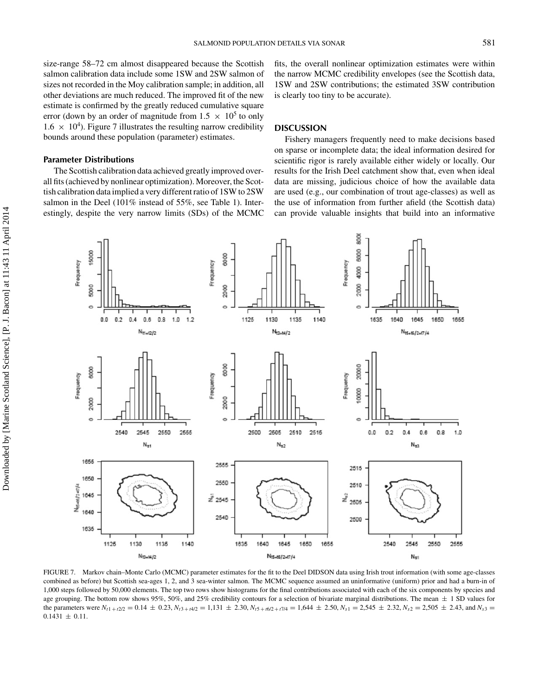size-range 58–72 cm almost disappeared because the Scottish salmon calibration data include some 1SW and 2SW salmon of sizes not recorded in the Moy calibration sample; in addition, all other deviations are much reduced. The improved fit of the new estimate is confirmed by the greatly reduced cumulative square error (down by an order of magnitude from  $1.5 \times 10^5$  to only  $1.6 \times 10^4$ ). Figure 7 illustrates the resulting narrow credibility bounds around these population (parameter) estimates.

## **Parameter Distributions**

The Scottish calibration data achieved greatly improved overall fits (achieved by nonlinear optimization). Moreover, the Scottish calibration data implied a very different ratio of 1SW to 2SW salmon in the Deel (101% instead of 55%, see Table 1). Interestingly, despite the very narrow limits (SDs) of the MCMC fits, the overall nonlinear optimization estimates were within the narrow MCMC credibility envelopes (see the Scottish data, 1SW and 2SW contributions; the estimated 3SW contribution is clearly too tiny to be accurate).

### **DISCUSSION**

Fishery managers frequently need to make decisions based on sparse or incomplete data; the ideal information desired for scientific rigor is rarely available either widely or locally. Our results for the Irish Deel catchment show that, even when ideal data are missing, judicious choice of how the available data are used (e.g., our combination of trout age-classes) as well as the use of information from further afield (the Scottish data) can provide valuable insights that build into an informative



FIGURE 7. Markov chain–Monte Carlo (MCMC) parameter estimates for the fit to the Deel DIDSON data using Irish trout information (with some age-classes combined as before) but Scottish sea-ages 1, 2, and 3 sea-winter salmon. The MCMC sequence assumed an uninformative (uniform) prior and had a burn-in of 1,000 steps followed by 50,000 elements. The top two rows show histograms for the final contributions associated with each of the six components by species and age grouping. The bottom row shows 95%, 50%, and 25% credibility contours for a selection of bivariate marginal distributions. The mean  $\pm$  1 SD values for the parameters were  $N_{t1+t/2/2} = 0.14 \pm 0.23$ ,  $N_{t3+t/4/2} = 1,131 \pm 2.30$ ,  $N_{t5+t/6/2+t/1/4} = 1,644 \pm 2.50$ ,  $N_{s1} = 2,545 \pm 2.32$ ,  $N_{s2} = 2,505 \pm 2.43$ , and  $N_{s3} = 2,545 \pm 0.23$  $0.1431 \pm 0.11$ .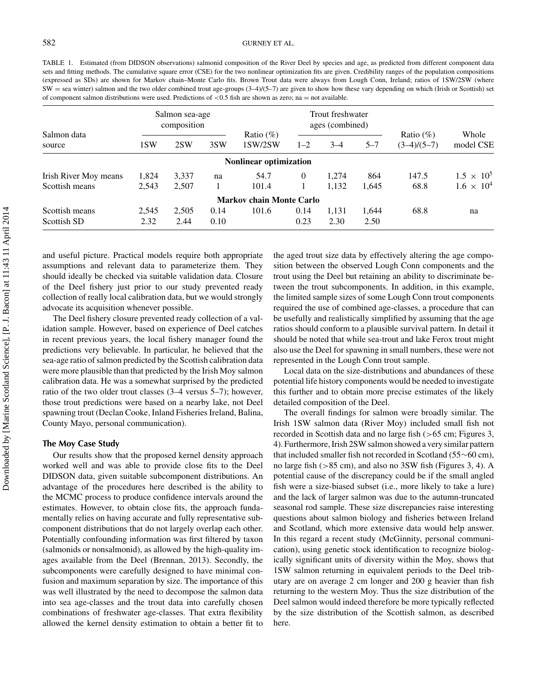TABLE 1. Estimated (from DIDSON observations) salmonid composition of the River Deel by species and age, as predicted from different component data sets and fitting methods. The cumulative square error (CSE) for the two nonlinear optimization fits are given. Credibility ranges of the population compositions (expressed as SDs) are shown for Markov chain–Monte Carlo fits. Brown Trout data were always from Lough Conn, Ireland; ratios of 1SW/2SW (where  $SW =$  sea winter) salmon and the two older combined trout age-groups  $(3-4)/(5-7)$  are given to show how these vary depending on which (Irish or Scottish) set of component salmon distributions were used. Predictions of  $\lt 0.5$  fish are shown as zero; na = not available.

| Salmon data<br>source | Salmon sea-age<br>composition |       |      | Trout freshwater<br>ages (combined) |         |         |         |                                |                     |
|-----------------------|-------------------------------|-------|------|-------------------------------------|---------|---------|---------|--------------------------------|---------------------|
|                       | 1SW                           | 2SW   | 3SW  | Ratio $(\%)$<br>1SW/2SW             | $1 - 2$ | $3 - 4$ | $5 - 7$ | Ratio $(\% )$<br>$(3-4)/(5-7)$ | Whole<br>model CSE  |
|                       |                               |       |      | <b>Nonlinear optimization</b>       |         |         |         |                                |                     |
| Irish River Moy means | 1,824                         | 3,337 | na   | 54.7                                | 0       | 1.274   | 864     | 147.5                          | $1.5 \times 10^{5}$ |
| Scottish means        | 2.543                         | 2,507 |      | 101.4                               |         | 1,132   | 1.645   | 68.8                           | $1.6 \times 10^{4}$ |
|                       |                               |       |      | <b>Markov chain Monte Carlo</b>     |         |         |         |                                |                     |
| Scottish means        | 2,545                         | 2,505 | 0.14 | 101.6                               | 0.14    | 1.131   | 1.644   | 68.8                           | na                  |
| Scottish SD           | 2.32                          | 2.44  | 0.10 |                                     | 0.23    | 2.30    | 2.50    |                                |                     |

and useful picture. Practical models require both appropriate assumptions and relevant data to parameterize them. They should ideally be checked via suitable validation data. Closure of the Deel fishery just prior to our study prevented ready collection of really local calibration data, but we would strongly advocate its acquisition whenever possible.

The Deel fishery closure prevented ready collection of a validation sample. However, based on experience of Deel catches in recent previous years, the local fishery manager found the predictions very believable. In particular, he believed that the sea-age ratio of salmon predicted by the Scottish calibration data were more plausible than that predicted by the Irish Moy salmon calibration data. He was a somewhat surprised by the predicted ratio of the two older trout classes (3–4 versus 5–7); however, those trout predictions were based on a nearby lake, not Deel spawning trout (Declan Cooke*,* Inland Fisheries Ireland, Balina, County Mayo, personal communication).

#### **The Moy Case Study**

Our results show that the proposed kernel density approach worked well and was able to provide close fits to the Deel DIDSON data, given suitable subcomponent distributions. An advantage of the procedures here described is the ability to the MCMC process to produce confidence intervals around the estimates. However, to obtain close fits, the approach fundamentally relies on having accurate and fully representative subcomponent distributions that do not largely overlap each other. Potentially confounding information was first filtered by taxon (salmonids or nonsalmonid), as allowed by the high-quality images available from the Deel (Brennan, 2013). Secondly, the subcomponents were carefully designed to have minimal confusion and maximum separation by size. The importance of this was well illustrated by the need to decompose the salmon data into sea age-classes and the trout data into carefully chosen combinations of freshwater age-classes. That extra flexibility allowed the kernel density estimation to obtain a better fit to

the aged trout size data by effectively altering the age composition between the observed Lough Conn components and the trout using the Deel but retaining an ability to discriminate between the trout subcomponents. In addition, in this example, the limited sample sizes of some Lough Conn trout components required the use of combined age-classes, a procedure that can be usefully and realistically simplified by assuming that the age ratios should conform to a plausible survival pattern. In detail it should be noted that while sea-trout and lake Ferox trout might also use the Deel for spawning in small numbers, these were not represented in the Lough Conn trout sample.

Local data on the size-distributions and abundances of these potential life history components would be needed to investigate this further and to obtain more precise estimates of the likely detailed composition of the Deel.

The overall findings for salmon were broadly similar. The Irish 1SW salmon data (River Moy) included small fish not recorded in Scottish data and no large fish (>65 cm; Figures 3, 4). Furthermore, Irish 2SW salmon showed a very similar pattern that included smaller fish not recorded in Scotland (55∼60 cm), no large fish (>85 cm), and also no 3SW fish (Figures 3, 4). A potential cause of the discrepancy could be if the small angled fish were a size-biased subset (i.e., more likely to take a lure) and the lack of larger salmon was due to the autumn-truncated seasonal rod sample. These size discrepancies raise interesting questions about salmon biology and fisheries between Ireland and Scotland, which more extensive data would help answer. In this regard a recent study (McGinnity, personal communication), using genetic stock identification to recognize biologically significant units of diversity within the Moy, shows that 1SW salmon returning in equivalent periods to the Deel tributary are on average 2 cm longer and 200 g heavier than fish returning to the western Moy. Thus the size distribution of the Deel salmon would indeed therefore be more typically reflected by the size distribution of the Scottish salmon, as described here.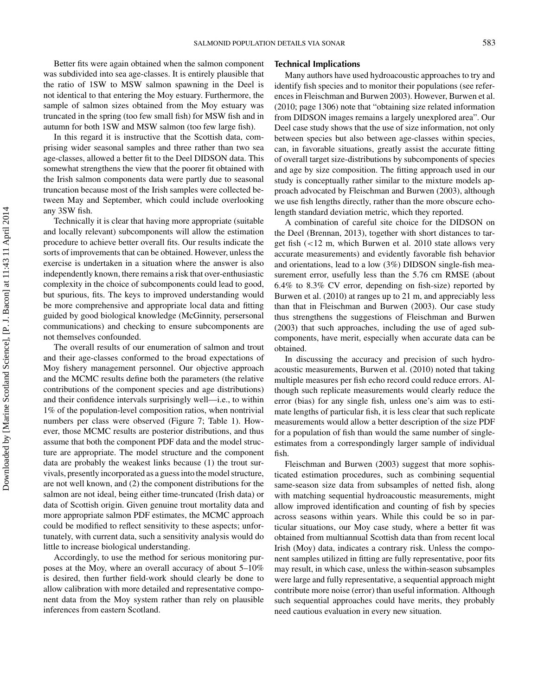Better fits were again obtained when the salmon component was subdivided into sea age-classes. It is entirely plausible that the ratio of 1SW to MSW salmon spawning in the Deel is not identical to that entering the Moy estuary. Furthermore, the sample of salmon sizes obtained from the Moy estuary was truncated in the spring (too few small fish) for MSW fish and in autumn for both 1SW and MSW salmon (too few large fish).

In this regard it is instructive that the Scottish data, comprising wider seasonal samples and three rather than two sea age-classes, allowed a better fit to the Deel DIDSON data. This somewhat strengthens the view that the poorer fit obtained with the Irish salmon components data were partly due to seasonal truncation because most of the Irish samples were collected between May and September, which could include overlooking any 3SW fish.

Technically it is clear that having more appropriate (suitable and locally relevant) subcomponents will allow the estimation procedure to achieve better overall fits. Our results indicate the sorts of improvements that can be obtained. However, unless the exercise is undertaken in a situation where the answer is also independently known, there remains a risk that over-enthusiastic complexity in the choice of subcomponents could lead to good, but spurious, fits. The keys to improved understanding would be more comprehensive and appropriate local data and fitting guided by good biological knowledge (McGinnity, persersonal communications) and checking to ensure subcomponents are not themselves confounded.

The overall results of our enumeration of salmon and trout and their age-classes conformed to the broad expectations of Moy fishery management personnel. Our objective approach and the MCMC results define both the parameters (the relative contributions of the component species and age distributions) and their confidence intervals surprisingly well—i.e., to within 1% of the population-level composition ratios, when nontrivial numbers per class were observed (Figure 7; Table 1). However, those MCMC results are posterior distributions, and thus assume that both the component PDF data and the model structure are appropriate. The model structure and the component data are probably the weakest links because (1) the trout survivals, presently incorporated as a guess into the model structure, are not well known, and (2) the component distributions for the salmon are not ideal, being either time-truncated (Irish data) or data of Scottish origin. Given genuine trout mortality data and more appropriate salmon PDF estimates, the MCMC approach could be modified to reflect sensitivity to these aspects; unfortunately, with current data, such a sensitivity analysis would do little to increase biological understanding.

Accordingly, to use the method for serious monitoring purposes at the Moy, where an overall accuracy of about 5–10% is desired, then further field-work should clearly be done to allow calibration with more detailed and representative component data from the Moy system rather than rely on plausible inferences from eastern Scotland.

#### **Technical Implications**

Many authors have used hydroacoustic approaches to try and identify fish species and to monitor their populations (see references in Fleischman and Burwen 2003). However, Burwen et al. (2010; page 1306) note that "obtaining size related information from DIDSON images remains a largely unexplored area". Our Deel case study shows that the use of size information, not only between species but also between age-classes within species, can, in favorable situations, greatly assist the accurate fitting of overall target size-distributions by subcomponents of species and age by size composition. The fitting approach used in our study is conceptually rather similar to the mixture models approach advocated by Fleischman and Burwen (2003), although we use fish lengths directly, rather than the more obscure echolength standard deviation metric, which they reported.

A combination of careful site choice for the DIDSON on the Deel (Brennan, 2013), together with short distances to target fish (<12 m, which Burwen et al. 2010 state allows very accurate measurements) and evidently favorable fish behavior and orientations, lead to a low (3%) DIDSON single-fish measurement error, usefully less than the 5.76 cm RMSE (about 6.4% to 8.3% CV error, depending on fish-size) reported by Burwen et al. (2010) at ranges up to 21 m, and appreciably less than that in Fleischman and Burwen (2003). Our case study thus strengthens the suggestions of Fleischman and Burwen (2003) that such approaches, including the use of aged subcomponents, have merit, especially when accurate data can be obtained.

In discussing the accuracy and precision of such hydroacoustic measurements, Burwen et al. (2010) noted that taking multiple measures per fish echo record could reduce errors. Although such replicate measurements would clearly reduce the error (bias) for any single fish, unless one's aim was to estimate lengths of particular fish, it is less clear that such replicate measurements would allow a better description of the size PDF for a population of fish than would the same number of singleestimates from a correspondingly larger sample of individual fish.

Fleischman and Burwen (2003) suggest that more sophisticated estimation procedures, such as combining sequential same-season size data from subsamples of netted fish, along with matching sequential hydroacoustic measurements, might allow improved identification and counting of fish by species across seasons within years. While this could be so in particular situations, our Moy case study, where a better fit was obtained from multiannual Scottish data than from recent local Irish (Moy) data, indicates a contrary risk. Unless the component samples utilized in fitting are fully representative, poor fits may result, in which case, unless the within-season subsamples were large and fully representative, a sequential approach might contribute more noise (error) than useful information. Although such sequential approaches could have merits, they probably need cautious evaluation in every new situation.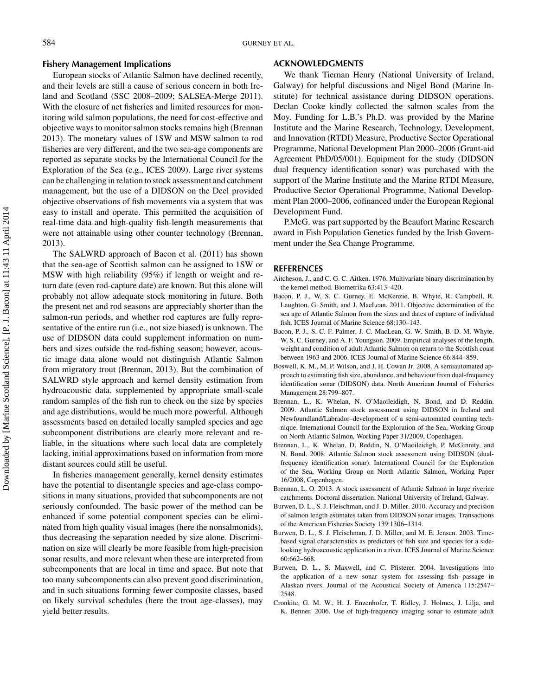#### **Fishery Management Implications**

European stocks of Atlantic Salmon have declined recently, and their levels are still a cause of serious concern in both Ireland and Scotland (SSC 2008–2009; SALSEA-Merge 2011). With the closure of net fisheries and limited resources for monitoring wild salmon populations, the need for cost-effective and objective ways to monitor salmon stocks remains high (Brennan 2013). The monetary values of 1SW and MSW salmon to rod fisheries are very different, and the two sea-age components are reported as separate stocks by the International Council for the Exploration of the Sea (e.g., ICES 2009). Large river systems can be challenging in relation to stock assessment and catchment management, but the use of a DIDSON on the Deel provided objective observations of fish movements via a system that was easy to install and operate. This permitted the acquisition of real-time data and high-quality fish-length measurements that were not attainable using other counter technology (Brennan, 2013).

The SALWRD approach of Bacon et al. (2011) has shown that the sea-age of Scottish salmon can be assigned to 1SW or MSW with high reliability (95%) if length or weight and return date (even rod-capture date) are known. But this alone will probably not allow adequate stock monitoring in future. Both the present net and rod seasons are appreciably shorter than the salmon-run periods, and whether rod captures are fully representative of the entire run (i.e., not size biased) is unknown. The use of DIDSON data could supplement information on numbers and sizes outside the rod-fishing season; however, acoustic image data alone would not distinguish Atlantic Salmon from migratory trout (Brennan, 2013). But the combination of SALWRD style approach and kernel density estimation from hydroacoustic data, supplemented by appropriate small-scale random samples of the fish run to check on the size by species and age distributions, would be much more powerful. Although assessments based on detailed locally sampled species and age subcomponent distributions are clearly more relevant and reliable, in the situations where such local data are completely lacking, initial approximations based on information from more distant sources could still be useful.

In fisheries management generally, kernel density estimates have the potential to disentangle species and age-class compositions in many situations, provided that subcomponents are not seriously confounded. The basic power of the method can be enhanced if some potential component species can be eliminated from high quality visual images (here the nonsalmonids), thus decreasing the separation needed by size alone. Discrimination on size will clearly be more feasible from high-precision sonar results, and more relevant when these are interpreted from subcomponents that are local in time and space. But note that too many subcomponents can also prevent good discrimination, and in such situations forming fewer composite classes, based on likely survival schedules (here the trout age-classes), may yield better results.

## **ACKNOWLEDGMENTS**

We thank Tiernan Henry (National University of Ireland, Galway) for helpful discussions and Nigel Bond (Marine Institute) for technical assistance during DIDSON operations. Declan Cooke kindly collected the salmon scales from the Moy. Funding for L.B.'s Ph.D. was provided by the Marine Institute and the Marine Research, Technology, Development, and Innovation (RTDI) Measure, Productive Sector Operational Programme, National Development Plan 2000–2006 (Grant-aid Agreement PhD/05/001). Equipment for the study (DIDSON dual frequency identification sonar) was purchased with the support of the Marine Institute and the Marine RTDI Measure, Productive Sector Operational Programme, National Development Plan 2000–2006, cofinanced under the European Regional Development Fund.

P.McG. was part supported by the Beaufort Marine Research award in Fish Population Genetics funded by the Irish Government under the Sea Change Programme.

#### **REFERENCES**

- Aitcheson, J., and C. G. C. Aitken. 1976. Multivariate binary discrimination by the kernel method. Biometrika 63:413–420.
- Bacon, P. J., W. S. C. Gurney, E. McKenzie, B. Whyte, R. Campbell, R. Laughton, G. Smith, and J. MacLean. 2011. Objective determination of the sea age of Atlantic Salmon from the sizes and dates of capture of individual fish. ICES Journal of Marine Science 68:130–143.
- Bacon, P. J., S. C. F. Palmer, J. C. MacLean, G. W. Smith, B. D. M. Whyte, W. S. C. Gurney, and A. F. Youngson. 2009. Empirical analyses of the length, weight and condition of adult Atlantic Salmon on return to the Scottish coast between 1963 and 2006. ICES Journal of Marine Science 66:844–859.
- Boswell, K. M., M. P. Wilson, and J. H. Cowan Jr. 2008. A semiautomated approach to estimating fish size, abundance, and behaviour from dual-frequency identification sonar (DIDSON) data. North American Journal of Fisheries Management 28:799–807.
- Brennan, L., K. Whelan, N. O'Maoileidigh, N. Bond, and D. Reddin. 2009. Atlantic Salmon stock assessment using DIDSON in Ireland and Newfoundland/Labrador–development of a semi-automated counting technique. International Council for the Exploration of the Sea, Working Group on North Atlantic Salmon, Working Paper 31/2009, Copenhagen.
- Brennan, L., K. Whelan, D. Reddin, N. O'Maoileidigh, P. McGinnity, and N. Bond. 2008. Atlantic Salmon stock assessment using DIDSON (dualfrequency identification sonar). International Council for the Exploration of the Sea, Working Group on North Atlantic Salmon, Working Paper 16/2008, Copenhagen.
- Brennan, L. O. 2013. A stock assessment of Atlantic Salmon in large riverine catchments. Doctoral dissertation. National University of Ireland, Galway.
- Burwen, D. L., S. J. Fleischman, and J. D. Miller. 2010. Accuracy and precision of salmon length estimates taken from DIDSON sonar images. Transactions of the American Fisheries Society 139:1306–1314.
- Burwen, D. L., S. J. Fleischman, J. D. Miller, and M. E. Jensen. 2003. Timebased signal characteristics as predictors of fish size and species for a sidelooking hydroacoustic application in a river. ICES Journal of Marine Science 60:662–668.
- Burwen, D. L., S. Maxwell, and C. Pfisterer. 2004. Investigations into the application of a new sonar system for assessing fish passage in Alaskan rivers. Journal of the Acoustical Society of America 115:2547– 2548.
- Cronkite, G. M. W., H. J. Enzenhofer, T. Ridley, J. Holmes, J. Lilja, and K. Benner. 2006. Use of high-frequency imaging sonar to estimate adult